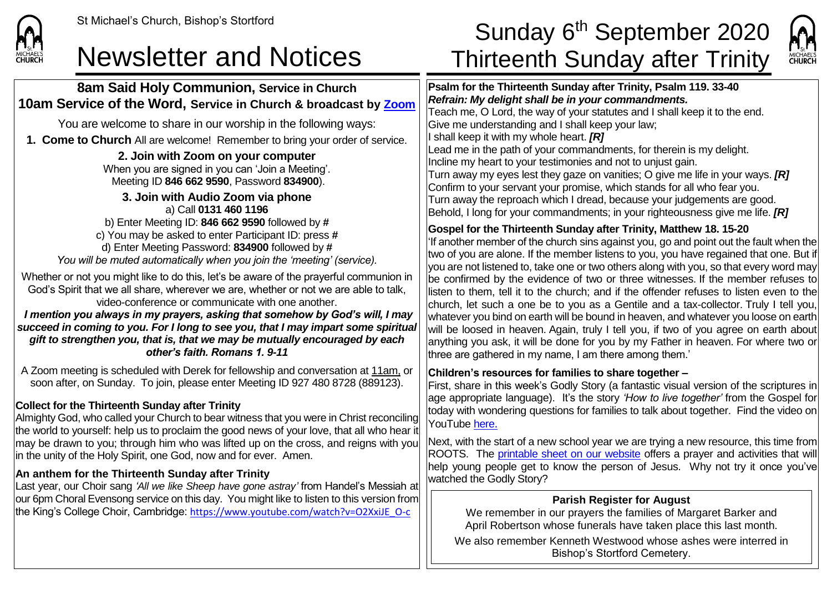

# **8am Said Holy Communion, Service in Church 10am Service of the Word, Service in Church & broadcast by [Zoom](https://zoom.us/)**

You are welcome to share in our worship in the following ways:

**1. Come to Church** All are welcome! Remember to bring your order of service.

**2. Join with Zoom on your computer** When you are signed in you can 'Join a Meeting'. Meeting ID **846 662 9590**, Password **834900**).

**3. Join with Audio Zoom via phone** a) Call **0131 460 1196** b) Enter Meeting ID: **846 662 9590** followed by **#** c) You may be asked to enter Participant ID: press **#** d) Enter Meeting Password: **834900** followed by **#** *You will be muted automatically when you join the 'meeting' (service).*

Whether or not you might like to do this, let's be aware of the prayerful communion in God's Spirit that we all share, wherever we are, whether or not we are able to talk, video-conference or communicate with one another.

*I mention you always in my prayers, asking that somehow by God's will, I may succeed in coming to you. For I long to see you, that I may impart some spiritual gift to strengthen you, that is, that we may be mutually encouraged by each other's faith. Romans 1. 9-11*

A Zoom meeting is scheduled with Derek for fellowship and conversation at 11am, or soon after, on Sunday. To join, please enter Meeting ID 927 480 8728 (889123).

### **Collect for the Thirteenth Sunday after Trinity**

Almighty God, who called your Church to bear witness that you were in Christ reconciling the world to yourself: help us to proclaim the good news of your love, that all who hear it may be drawn to you; through him who was lifted up on the cross, and reigns with you in the unity of the Holy Spirit, one God, now and for ever. Amen.

### **An anthem for the Thirteenth Sunday after Trinity**

Last year, our Choir sang *'All we like Sheep have gone astray'* from Handel's Messiah at our 6pm Choral Evensong service on this day. You might like to listen to this version from the King's College Choir, Cambridge: [https://www.youtube.com/watch?v=O2XxiJE\\_O-c](https://www.youtube.com/watch?v=O2XxiJE_O-c)

# St Michael's Church, Bishop's Stortford  $\textsf{Sunday\ 6}^{\textsf{th}}\ \textsf{September\ 2020}$ Newsletter and Notices Thirteenth Sunday after Trinity



**Psalm for the Thirteenth Sunday after Trinity, Psalm 119. 33-40** *Refrain: My delight shall be in your commandments.* Teach me, O Lord, the way of your statutes and I shall keep it to the end. Give me understanding and I shall keep your law; I shall keep it with my whole heart. *[R]* Lead me in the path of your commandments, for therein is my delight. Incline my heart to your testimonies and not to unjust gain. Turn away my eyes lest they gaze on vanities; O give me life in your ways. *[R]* Confirm to your servant your promise, which stands for all who fear you. Turn away the reproach which I dread, because your judgements are good. Behold, I long for your commandments; in your righteousness give me life. *[R]* **Gospel for the Thirteenth Sunday after Trinity, Matthew 18. 15-20** 'If another member of the church sins against you, go and point out the fault when the

two of you are alone. If the member listens to you, you have regained that one. But if you are not listened to, take one or two others along with you, so that every word may be confirmed by the evidence of two or three witnesses. If the member refuses to listen to them, tell it to the church; and if the offender refuses to listen even to the church, let such a one be to you as a Gentile and a tax-collector. Truly I tell you, whatever you bind on earth will be bound in heaven, and whatever you loose on earth will be loosed in heaven. Again, truly I tell you, if two of you agree on earth about anything you ask, it will be done for you by my Father in heaven. For where two or three are gathered in my name, I am there among them.'

#### **Children's resources for families to share together –**

First, share in this week's Godly Story (a fantastic visual version of the scriptures in age appropriate language). It's the story *'How to live together'* from the Gospel for today with wondering questions for families to talk about together. Find the video on YouTube [here](https://www.youtube.com/watch?v=MW4IgK6tJBw).

Next, with the start of a new school year we are trying a new resource, this time from ROOTS. The [printable sheet on our website](https://saintmichaelweb.org.uk/Articles/542815/_Newsletter.aspx) offers a prayer and activities that will help young people get to know the person of Jesus. Why not try it once you've watched the Godly Story?

## **Parish Register for August**

We remember in our prayers the families of Margaret Barker and April Robertson whose funerals have taken place this last month.

We also remember Kenneth Westwood whose ashes were interred in Bishop's Stortford Cemetery.